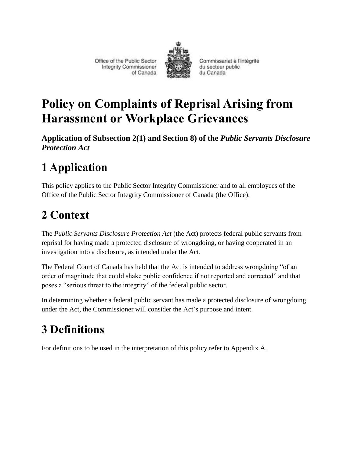Office of the Public Sector **Integrity Commissioner** of Canada



Commissariat à l'intégrité du secteur public du Canada

# **Policy on Complaints of Reprisal Arising from Harassment or Workplace Grievances**

**Application of Subsection 2(1) and Section 8) of the** *Public Servants Disclosure Protection Act*

# **1 Application**

This policy applies to the Public Sector Integrity Commissioner and to all employees of the Office of the Public Sector Integrity Commissioner of Canada (the Office).

## **2 Context**

The *Public Servants Disclosure Protection Act* (the Act) protects federal public servants from reprisal for having made a protected disclosure of wrongdoing, or having cooperated in an investigation into a disclosure, as intended under the Act.

The Federal Court of Canada has held that the Act is intended to address wrongdoing "of an order of magnitude that could shake public confidence if not reported and corrected" and that poses a "serious threat to the integrity" of the federal public sector.

In determining whether a federal public servant has made a protected disclosure of wrongdoing under the Act, the Commissioner will consider the Act's purpose and intent.

# **3 Definitions**

For definitions to be used in the interpretation of this policy refer to Appendix A.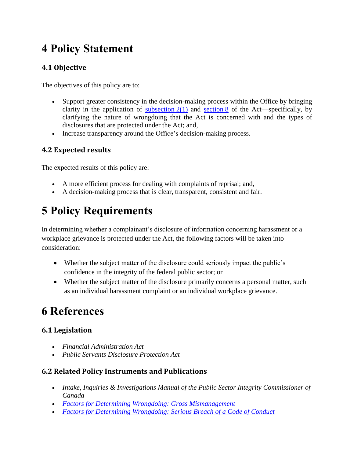## **4 Policy Statement**

## **4.1 Objective**

The objectives of this policy are to:

- Support greater consistency in the decision-making process within the Office by bringing clarity in the application of [subsection](http://laws-lois.justice.gc.ca/eng/acts/P-31.9/page-1.html#h-2)  $2(1)$  and [section](http://laws-lois.justice.gc.ca/eng/acts/P-31.9/page-2.html#h-6) 8 of the Act—specifically, by clarifying the nature of wrongdoing that the Act is concerned with and the types of disclosures that are protected under the Act; and,
- Increase transparency around the Office's decision-making process.

### **4.2 Expected results**

The expected results of this policy are:

- A more efficient process for dealing with complaints of reprisal; and,
- A decision-making process that is clear, transparent, consistent and fair.

# **5 Policy Requirements**

In determining whether a complainant's disclosure of information concerning harassment or a workplace grievance is protected under the Act, the following factors will be taken into consideration:

- Whether the subject matter of the disclosure could seriously impact the public's confidence in the integrity of the federal public sector; or
- Whether the subject matter of the disclosure primarily concerns a personal matter, such as an individual harassment complaint or an individual workplace grievance.

## **6 References**

### **6.1 Legislation**

- *Financial Administration Act*
- *Public Servants Disclosure Protection Act*

### **6.2 Related Policy Instruments and Publications**

- *Intake, Inquiries & Investigations Manual of the Public Sector Integrity Commissioner of Canada*
- *[Factors for Determining Wrongdoing: Gross Mismanagement](http://www.psic-ispc.gc.ca/sites/default/files/media/gross_mismanagement.pdf)*
- *[Factors for Determining Wrongdoing: Serious Breach of a Code of Conduct](http://www.psic-ispc.gc.ca/sites/default/files/media/serious_breach_of_a_code_of_conduct.pdf)*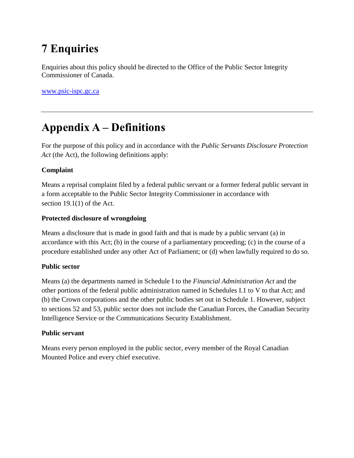## **7 Enquiries**

Enquiries about this policy should be directed to the Office of the Public Sector Integrity Commissioner of Canada.

[www.psic-ispc.gc.ca](file:///C:/Users/shefman.zachary/AppData/Roaming/OpenText/DM/Temp/www.psic-ispc.gc.ca)

## **Appendix A – Definitions**

For the purpose of this policy and in accordance with the *Public Servants Disclosure Protection Act* (the Act), the following definitions apply:

### **Complaint**

Means a reprisal complaint filed by a federal public servant or a former federal public servant in a form acceptable to the Public Sector Integrity Commissioner in accordance with section 19.1(1) of the Act.

#### **Protected disclosure of wrongdoing**

Means a disclosure that is made in good faith and that is made by a public servant (a) in accordance with this Act; (b) in the course of a parliamentary proceeding; (c) in the course of a procedure established under any other Act of Parliament; or (d) when lawfully required to do so.

#### **Public sector**

Means (a) the departments named in Schedule I to the *Financial Administration Act* and the other portions of the federal public administration named in Schedules I.1 to V to that Act; and (b) the Crown corporations and the other public bodies set out in Schedule 1. However, subject to sections 52 and 53, public sector does not include the Canadian Forces, the Canadian Security Intelligence Service or the Communications Security Establishment.

#### **Public servant**

Means every person employed in the public sector, every member of the Royal Canadian Mounted Police and every chief executive.